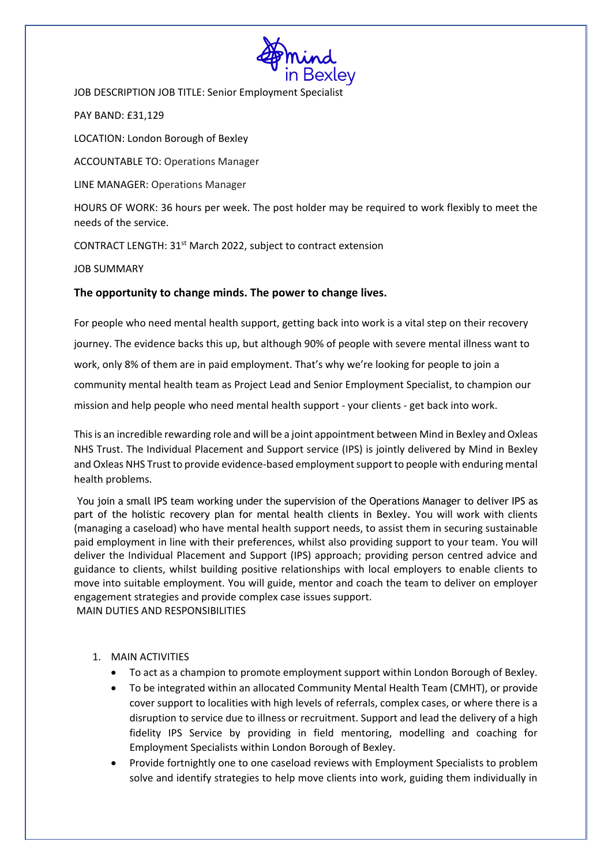

JOB DESCRIPTION JOB TITLE: Senior Employment Specialist

PAY BAND: £31,129

LOCATION: London Borough of Bexley

ACCOUNTABLE TO: Operations Manager

LINE MANAGER: Operations Manager

HOURS OF WORK: 36 hours per week. The post holder may be required to work flexibly to meet the needs of the service.

CONTRACT LENGTH: 31st March 2022, subject to contract extension

JOB SUMMARY

# **The opportunity to change minds. The power to change lives.**

For people who need mental health support, getting back into work is a vital step on their recovery journey. The evidence backs this up, but although 90% of people with severe mental illness want to work, only 8% of them are in paid employment. That's why we're looking for people to join a community mental health team as Project Lead and Senior Employment Specialist, to champion our mission and help people who need mental health support - your clients - get back into work.

This is an incredible rewarding role and will be a joint appointment between Mind in Bexley and Oxleas NHS Trust. The Individual Placement and Support service (IPS) is jointly delivered by Mind in Bexley and Oxleas NHS Trust to provide evidence-based employment support to people with enduring mental health problems.

You join a small IPS team working under the supervision of the Operations Manager to deliver IPS as part of the holistic recovery plan for mental health clients in Bexley. You will work with clients (managing a caseload) who have mental health support needs, to assist them in securing sustainable paid employment in line with their preferences, whilst also providing support to your team. You will deliver the Individual Placement and Support (IPS) approach; providing person centred advice and guidance to clients, whilst building positive relationships with local employers to enable clients to move into suitable employment. You will guide, mentor and coach the team to deliver on employer engagement strategies and provide complex case issues support. MAIN DUTIES AND RESPONSIBILITIES

## 1. MAIN ACTIVITIES

- To act as a champion to promote employment support within London Borough of Bexley.
- To be integrated within an allocated Community Mental Health Team (CMHT), or provide cover support to localities with high levels of referrals, complex cases, or where there is a disruption to service due to illness or recruitment. Support and lead the delivery of a high fidelity IPS Service by providing in field mentoring, modelling and coaching for Employment Specialists within London Borough of Bexley.
- Provide fortnightly one to one caseload reviews with Employment Specialists to problem solve and identify strategies to help move clients into work, guiding them individually in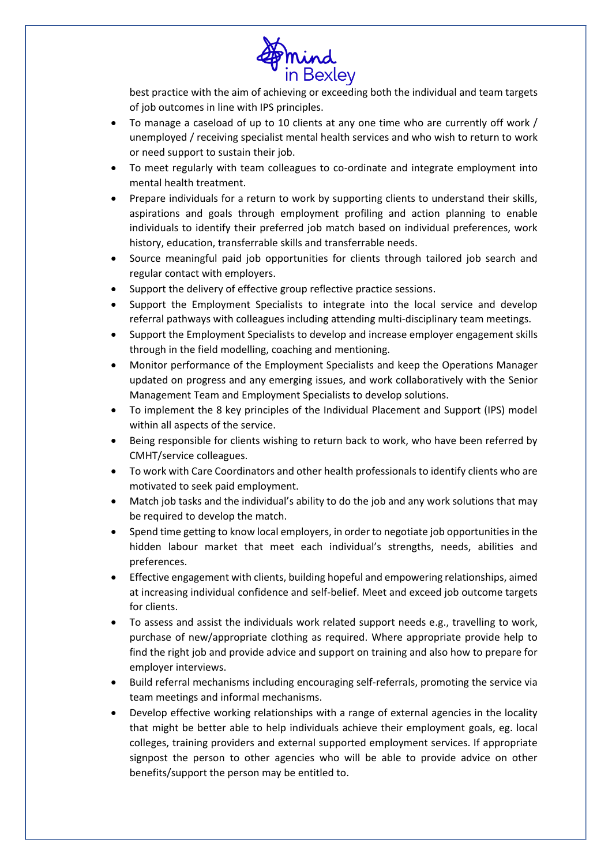

best practice with the aim of achieving or exceeding both the individual and team targets of job outcomes in line with IPS principles.

- To manage a caseload of up to 10 clients at any one time who are currently off work / unemployed / receiving specialist mental health services and who wish to return to work or need support to sustain their job.
- To meet regularly with team colleagues to co-ordinate and integrate employment into mental health treatment.
- Prepare individuals for a return to work by supporting clients to understand their skills, aspirations and goals through employment profiling and action planning to enable individuals to identify their preferred job match based on individual preferences, work history, education, transferrable skills and transferrable needs.
- Source meaningful paid job opportunities for clients through tailored job search and regular contact with employers.
- Support the delivery of effective group reflective practice sessions.
- Support the Employment Specialists to integrate into the local service and develop referral pathways with colleagues including attending multi-disciplinary team meetings.
- Support the Employment Specialists to develop and increase employer engagement skills through in the field modelling, coaching and mentioning.
- Monitor performance of the Employment Specialists and keep the Operations Manager updated on progress and any emerging issues, and work collaboratively with the Senior Management Team and Employment Specialists to develop solutions.
- To implement the 8 key principles of the Individual Placement and Support (IPS) model within all aspects of the service.
- Being responsible for clients wishing to return back to work, who have been referred by CMHT/service colleagues.
- To work with Care Coordinators and other health professionals to identify clients who are motivated to seek paid employment.
- Match job tasks and the individual's ability to do the job and any work solutions that may be required to develop the match.
- Spend time getting to know local employers, in order to negotiate job opportunities in the hidden labour market that meet each individual's strengths, needs, abilities and preferences.
- Effective engagement with clients, building hopeful and empowering relationships, aimed at increasing individual confidence and self-belief. Meet and exceed job outcome targets for clients.
- To assess and assist the individuals work related support needs e.g., travelling to work, purchase of new/appropriate clothing as required. Where appropriate provide help to find the right job and provide advice and support on training and also how to prepare for employer interviews.
- Build referral mechanisms including encouraging self-referrals, promoting the service via team meetings and informal mechanisms.
- Develop effective working relationships with a range of external agencies in the locality that might be better able to help individuals achieve their employment goals, eg. local colleges, training providers and external supported employment services. If appropriate signpost the person to other agencies who will be able to provide advice on other benefits/support the person may be entitled to.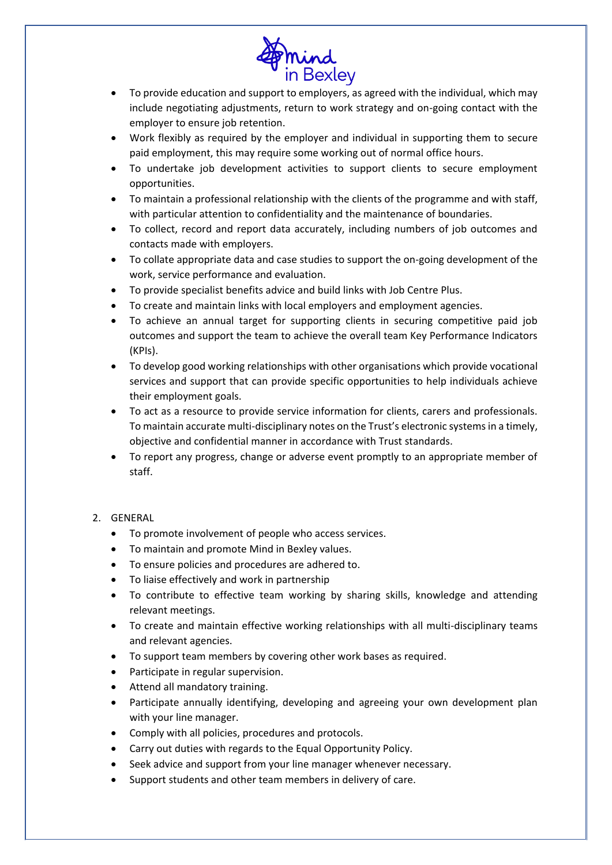

- To provide education and support to employers, as agreed with the individual, which may include negotiating adjustments, return to work strategy and on-going contact with the employer to ensure job retention.
- Work flexibly as required by the employer and individual in supporting them to secure paid employment, this may require some working out of normal office hours.
- To undertake job development activities to support clients to secure employment opportunities.
- To maintain a professional relationship with the clients of the programme and with staff, with particular attention to confidentiality and the maintenance of boundaries.
- To collect, record and report data accurately, including numbers of job outcomes and contacts made with employers.
- To collate appropriate data and case studies to support the on-going development of the work, service performance and evaluation.
- To provide specialist benefits advice and build links with Job Centre Plus.
- To create and maintain links with local employers and employment agencies.
- To achieve an annual target for supporting clients in securing competitive paid job outcomes and support the team to achieve the overall team Key Performance Indicators (KPIs).
- To develop good working relationships with other organisations which provide vocational services and support that can provide specific opportunities to help individuals achieve their employment goals.
- To act as a resource to provide service information for clients, carers and professionals. To maintain accurate multi-disciplinary notes on the Trust's electronic systems in a timely, objective and confidential manner in accordance with Trust standards.
- To report any progress, change or adverse event promptly to an appropriate member of staff.

## 2. GENERAL

- To promote involvement of people who access services.
- To maintain and promote Mind in Bexley values.
- To ensure policies and procedures are adhered to.
- To liaise effectively and work in partnership
- To contribute to effective team working by sharing skills, knowledge and attending relevant meetings.
- To create and maintain effective working relationships with all multi-disciplinary teams and relevant agencies.
- To support team members by covering other work bases as required.
- Participate in regular supervision.
- Attend all mandatory training.
- Participate annually identifying, developing and agreeing your own development plan with your line manager.
- Comply with all policies, procedures and protocols.
- Carry out duties with regards to the Equal Opportunity Policy.
- Seek advice and support from your line manager whenever necessary.
- Support students and other team members in delivery of care.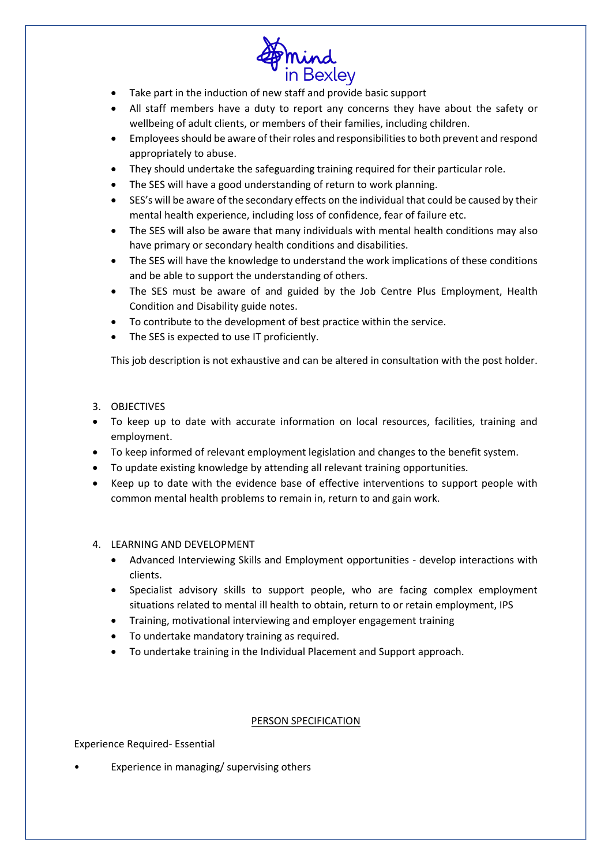

- Take part in the induction of new staff and provide basic support
- All staff members have a duty to report any concerns they have about the safety or wellbeing of adult clients, or members of their families, including children.
- Employees should be aware of their roles and responsibilities to both prevent and respond appropriately to abuse.
- They should undertake the safeguarding training required for their particular role.
- The SES will have a good understanding of return to work planning.
- SES's will be aware of the secondary effects on the individual that could be caused by their mental health experience, including loss of confidence, fear of failure etc.
- The SES will also be aware that many individuals with mental health conditions may also have primary or secondary health conditions and disabilities.
- The SES will have the knowledge to understand the work implications of these conditions and be able to support the understanding of others.
- The SES must be aware of and guided by the Job Centre Plus Employment, Health Condition and Disability guide notes.
- To contribute to the development of best practice within the service.
- The SES is expected to use IT proficiently.

This job description is not exhaustive and can be altered in consultation with the post holder.

## 3. OBJECTIVES

- To keep up to date with accurate information on local resources, facilities, training and employment.
- To keep informed of relevant employment legislation and changes to the benefit system.
- To update existing knowledge by attending all relevant training opportunities.
- Keep up to date with the evidence base of effective interventions to support people with common mental health problems to remain in, return to and gain work.

## 4. LEARNING AND DEVELOPMENT

- Advanced Interviewing Skills and Employment opportunities develop interactions with clients.
- Specialist advisory skills to support people, who are facing complex employment situations related to mental ill health to obtain, return to or retain employment, IPS
- Training, motivational interviewing and employer engagement training
- To undertake mandatory training as required.
- To undertake training in the Individual Placement and Support approach.

## PERSON SPECIFICATION

## Experience Required- Essential

• Experience in managing/ supervising others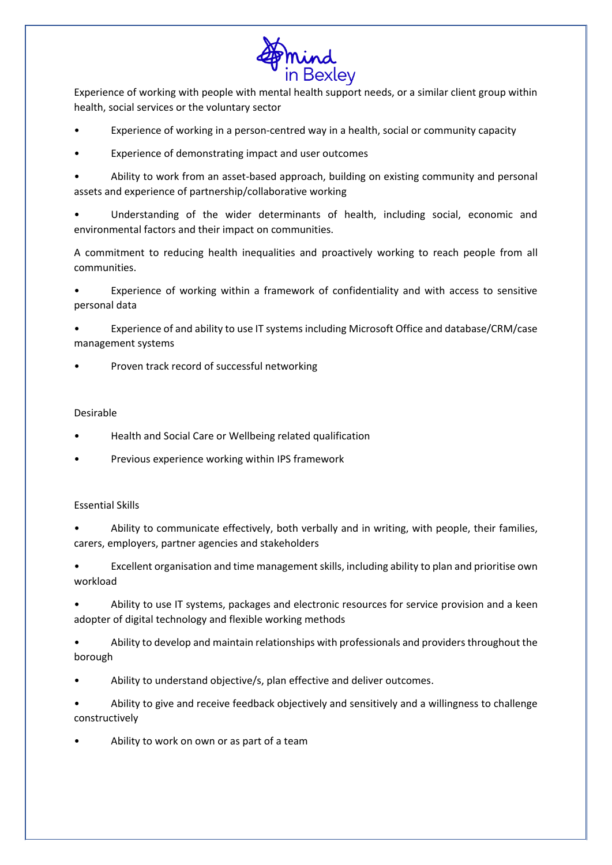

Experience of working with people with mental health support needs, or a similar client group within health, social services or the voluntary sector

- Experience of working in a person-centred way in a health, social or community capacity
- Experience of demonstrating impact and user outcomes

• Ability to work from an asset-based approach, building on existing community and personal assets and experience of partnership/collaborative working

• Understanding of the wider determinants of health, including social, economic and environmental factors and their impact on communities.

A commitment to reducing health inequalities and proactively working to reach people from all communities.

• Experience of working within a framework of confidentiality and with access to sensitive personal data

• Experience of and ability to use IT systems including Microsoft Office and database/CRM/case management systems

• Proven track record of successful networking

## Desirable

- Health and Social Care or Wellbeing related qualification
- Previous experience working within IPS framework

## Essential Skills

• Ability to communicate effectively, both verbally and in writing, with people, their families, carers, employers, partner agencies and stakeholders

• Excellent organisation and time management skills, including ability to plan and prioritise own workload

• Ability to use IT systems, packages and electronic resources for service provision and a keen adopter of digital technology and flexible working methods

• Ability to develop and maintain relationships with professionals and providers throughout the borough

• Ability to understand objective/s, plan effective and deliver outcomes.

• Ability to give and receive feedback objectively and sensitively and a willingness to challenge constructively

• Ability to work on own or as part of a team